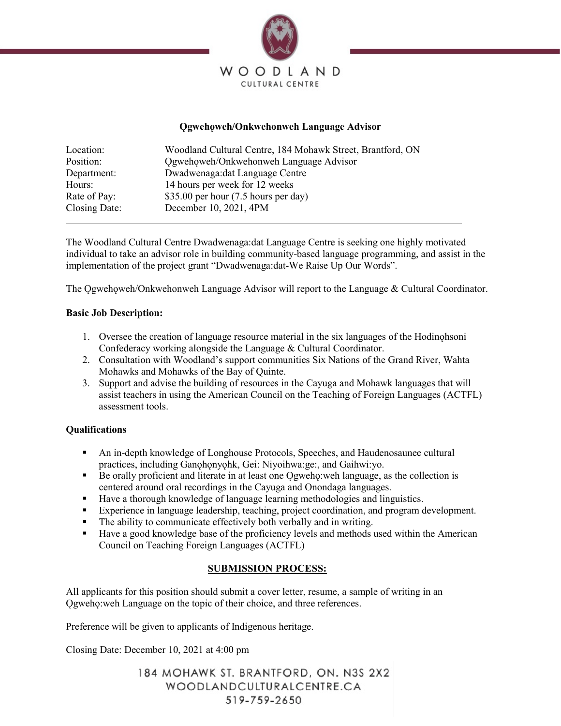

#### **Ogwehoweh/Onkwehonweh Language Advisor**

| Location:     | Woodland Cultural Centre, 184 Mohawk Street, Brantford, ON |
|---------------|------------------------------------------------------------|
| Position:     | Ogwehoweh/Onkwehonweh Language Advisor                     |
| Department:   | Dwadwenaga: dat Language Centre                            |
| Hours:        | 14 hours per week for 12 weeks                             |
| Rate of Pay:  | \$35.00 per hour $(7.5$ hours per day)                     |
| Closing Date: | December 10, 2021, 4PM                                     |

The Woodland Cultural Centre Dwadwenaga:dat Language Centre is seeking one highly motivated individual to take an advisor role in building community-based language programming, and assist in the implementation of the project grant "Dwadwenaga:dat-We Raise Up Our Words".

The Ogwehoweh/Onkwehonweh Language Advisor will report to the Language  $&$  Cultural Coordinator.

#### **Basic Job Description:**

- 1. Oversee the creation of language resource material in the six languages of the Hodinohsoni Confederacy working alongside the Language & Cultural Coordinator.
- 2. Consultation with Woodland's support communities Six Nations of the Grand River, Wahta Mohawks and Mohawks of the Bay of Quinte.
- 3. Support and advise the building of resources in the Cayuga and Mohawk languages that will assist teachers in using the American Council on the Teaching of Foreign Languages (ACTFL) assessment tools.

## **Qualifications**

- An in-depth knowledge of Longhouse Protocols, Speeches, and Haudenosaunee cultural practices, including Ganohonyohk, Gei: Niyoihwa:ge:, and Gaihwi:yo.
- Be orally proficient and literate in at least one Ogweho: weh language, as the collection is centered around oral recordings in the Cayuga and Onondaga languages.
- Have a thorough knowledge of language learning methodologies and linguistics.
- Experience in language leadership, teaching, project coordination, and program development.
- The ability to communicate effectively both verbally and in writing.
- Have a good knowledge base of the proficiency levels and methods used within the American Council on Teaching Foreign Languages (ACTFL)

## **SUBMISSION PROCESS:**

All applicants for this position should submit a cover letter, resume, a sample of writing in an Ogweho:weh Language on the topic of their choice, and three references.

Preference will be given to applicants of Indigenous heritage.

Closing Date: December 10, 2021 at 4:00 pm

184 MOHAWK ST. BRANTFORD, ON. N3S 2X2 WOODLANDCULTURALCENTRE.CA 519-759-2650